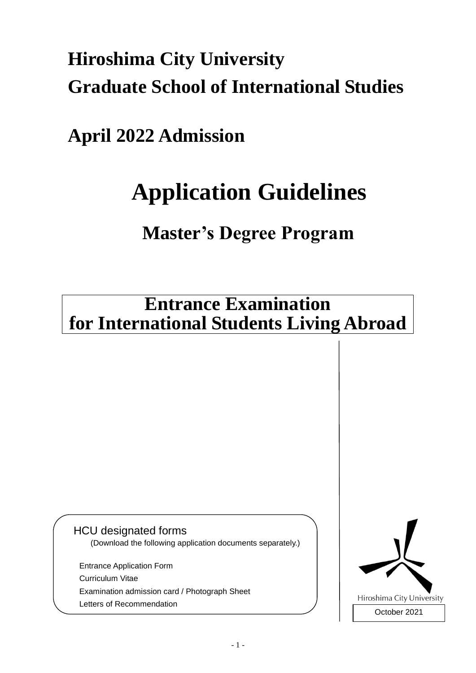# **Hiroshima City University Graduate School of International Studies**

**April 2022 Admission**

# **Application Guidelines**

## **Master's Degree Program**

### **Entrance Examination for International Students Living Abroad**

### HCU designated forms

(Download the following application documents separately.)

Entrance Application Form Curriculum Vitae Examination admission card / Photograph Sheet Letters of Recommendation

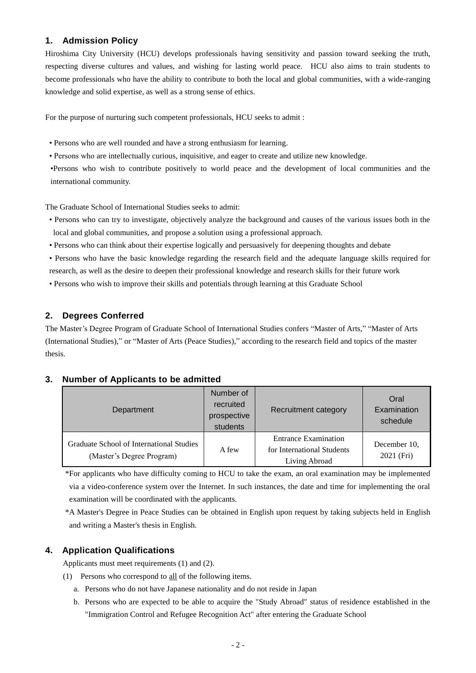#### **1. Admission Policy**

Hiroshima City University (HCU) develops professionals having sensitivity and passion toward seeking the truth, respecting diverse cultures and values, and wishing for lasting world peace. HCU also aims to train students to become professionals who have the ability to contribute to both the local and global communities, with a wide-ranging knowledge and solid expertise, as well as a strong sense of ethics.

For the purpose of nurturing such competent professionals, HCU seeks to admit :

- Persons who are well rounded and have a strong enthusiasm for learning.
- Persons who are intellectually curious, inquisitive, and eager to create and utilize new knowledge.

•Persons who wish to contribute positively to world peace and the development of local communities and the international community.

The Graduate School of International Studies seeks to admit:

- Persons who can try to investigate, objectively analyze the background and causes of the various issues both in the local and global communities, and propose a solution using a professional approach.
- Persons who can think about their expertise logically and persuasively for deepening thoughts and debate
- Persons who have the basic knowledge regarding the research field and the adequate language skills required for research, as well as the desire to deepen their professional knowledge and research skills for their future work
- Persons who wish to improve their skills and potentials through learning at this Graduate School

#### **2. Degrees Conferred**

The Master's Degree Program of Graduate School of International Studies confers "Master of Arts," "Master of Arts (International Studies)," or "Master of Arts (Peace Studies)," according to the research field and topics of the master thesis.

#### **3. Number of Applicants to be admitted**

| Department                                                            | Number of<br>recruited<br>prospective<br>students | Recruitment category                                                       | Oral<br>Examination<br>schedule |
|-----------------------------------------------------------------------|---------------------------------------------------|----------------------------------------------------------------------------|---------------------------------|
| Graduate School of International Studies<br>(Master's Degree Program) | A few                                             | <b>Entrance Examination</b><br>for International Students<br>Living Abroad | December 10.<br>2021 (Fri)      |

\*For applicants who have difficulty coming to HCU to take the exam, an oral examination may be implemented via a video-conference system over the Internet. In such instances, the date and time for implementing the oral examination will be coordinated with the applicants.

\*A Master's Degree in Peace Studies can be obtained in English upon request by taking subjects held in English and writing a Master's thesis in English.

#### **4. Application Qualifications**

Applicants must meet requirements (1) and (2).

- (1) Persons who correspond to all of the following items.
	- a. Persons who do not have Japanese nationality and do not reside in Japan
	- b. Persons who are expected to be able to acquire the "Study Abroad" status of residence established in the "Immigration Control and Refugee Recognition Act" after entering the Graduate School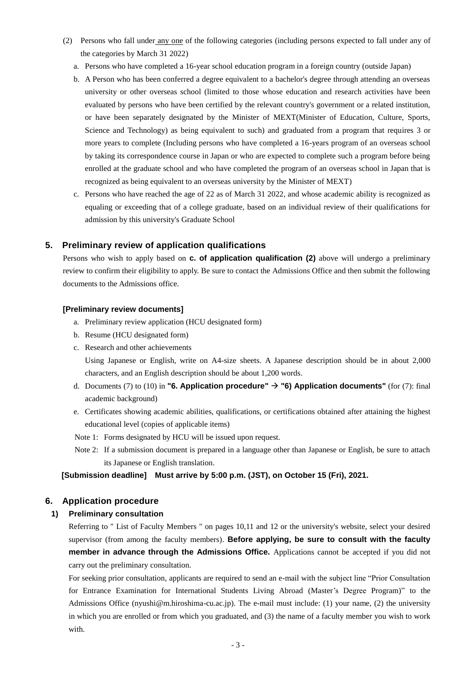- (2) Persons who fall under any one of the following categories (including persons expected to fall under any of the categories by March 31 2022)
	- a. Persons who have completed a 16-year school education program in a foreign country (outside Japan)
	- b. A Person who has been conferred a degree equivalent to a bachelor's degree through attending an overseas university or other overseas school (limited to those whose education and research activities have been evaluated by persons who have been certified by the relevant country's government or a related institution, or have been separately designated by the Minister of MEXT(Minister of Education, Culture, Sports, Science and Technology) as being equivalent to such) and graduated from a program that requires 3 or more years to complete (Including persons who have completed a 16-years program of an overseas school by taking its correspondence course in Japan or who are expected to complete such a program before being enrolled at the graduate school and who have completed the program of an overseas school in Japan that is recognized as being equivalent to an overseas university by the Minister of MEXT)
	- c. Persons who have reached the age of 22 as of March 31 2022, and whose academic ability is recognized as equaling or exceeding that of a college graduate, based on an individual review of their qualifications for admission by this university's Graduate School

#### **5. Preliminary review of application qualifications**

Persons who wish to apply based on **c. of application qualification (2)** above will undergo a preliminary review to confirm their eligibility to apply. Be sure to contact the Admissions Office and then submit the following documents to the Admissions office.

#### **[Preliminary review documents]**

- a. Preliminary review application (HCU designated form)
- b. Resume (HCU designated form)
- c. Research and other achievements

Using Japanese or English, write on A4-size sheets. A Japanese description should be in about 2,000 characters, and an English description should be about 1,200 words.

- d. Documents (7) to (10) in **"6. Application procedure"** → **"6) Application documents"** (for (7): final academic background)
- e. Certificates showing academic abilities, qualifications, or certifications obtained after attaining the highest educational level (copies of applicable items)
- Note 1: Forms designated by HCU will be issued upon request.
- Note 2: If a submission document is prepared in a language other than Japanese or English, be sure to attach its Japanese or English translation.

#### **[Submission deadline] Must arrive by 5:00 p.m. (JST), on October 15 (Fri), 2021.**

#### **6. Application procedure**

#### **1) Preliminary consultation**

Referring to " List of Faculty Members " on pages 10,11 and 12 or the university's website, select your desired supervisor (from among the faculty members). **Before applying, be sure to consult with the faculty member in advance through the Admissions Office.** Applications cannot be accepted if you did not carry out the preliminary consultation.

For seeking prior consultation, applicants are required to send an e-mail with the subject line "Prior Consultation for Entrance Examination for International Students Living Abroad (Master's Degree Program)" to the Admissions Office (nyushi@m.hiroshima-cu.ac.jp). The e-mail must include: (1) your name, (2) the university in which you are enrolled or from which you graduated, and (3) the name of a faculty member you wish to work with.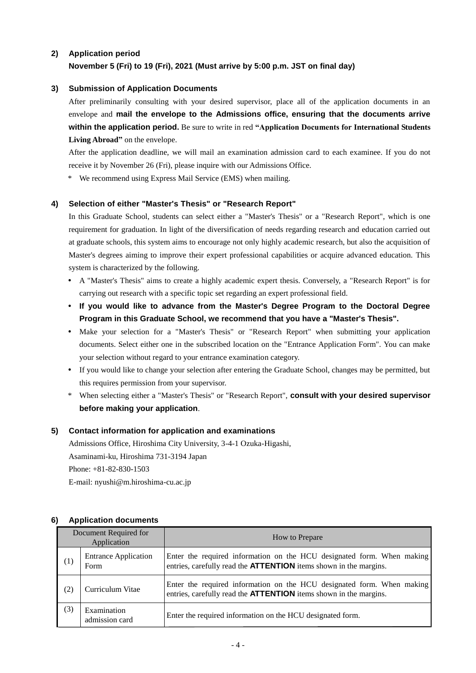#### **2) Application period**

#### **November 5 (Fri) to 19 (Fri), 2021 (Must arrive by 5:00 p.m. JST on final day)**

#### **3) Submission of Application Documents**

After preliminarily consulting with your desired supervisor, place all of the application documents in an envelope and **mail the envelope to the Admissions office, ensuring that the documents arrive within the application period.** Be sure to write in red **"Application Documents for International Students Living Abroad"** on the envelope.

After the application deadline, we will mail an examination admission card to each examinee. If you do not receive it by November 26 (Fri), please inquire with our Admissions Office.

\* We recommend using Express Mail Service (EMS) when mailing.

#### **4) Selection of either "Master's Thesis" or "Research Report"**

In this Graduate School, students can select either a "Master's Thesis" or a "Research Report", which is one requirement for graduation. In light of the diversification of needs regarding research and education carried out at graduate schools, this system aims to encourage not only highly academic research, but also the acquisition of Master's degrees aiming to improve their expert professional capabilities or acquire advanced education. This system is characterized by the following.

- A "Master's Thesis" aims to create a highly academic expert thesis. Conversely, a "Research Report" is for carrying out research with a specific topic set regarding an expert professional field.
- **If you would like to advance from the Master's Degree Program to the Doctoral Degree Program in this Graduate School, we recommend that you have a "Master's Thesis".**
- Make your selection for a "Master's Thesis" or "Research Report" when submitting your application documents. Select either one in the subscribed location on the "Entrance Application Form". You can make your selection without regard to your entrance examination category.
- If you would like to change your selection after entering the Graduate School, changes may be permitted, but this requires permission from your supervisor.
- \* When selecting either a "Master's Thesis" or "Research Report", **consult with your desired supervisor before making your application**.

#### **5) Contact information for application and examinations**

Admissions Office, Hiroshima City University, 3-4-1 Ozuka-Higashi, Asaminami-ku, Hiroshima 731-3194 Japan Phone: +81-82-830-1503 E-mail: nyushi@m.hiroshima-cu.ac.jp

#### **6) Application documents**

| Document Required for<br>Application |                                     | How to Prepare                                                                                                                                     |
|--------------------------------------|-------------------------------------|----------------------------------------------------------------------------------------------------------------------------------------------------|
| (1)                                  | <b>Entrance Application</b><br>Form | Enter the required information on the HCU designated form. When making<br>entries, carefully read the <b>ATTENTION</b> items shown in the margins. |
| (2)                                  | Curriculum Vitae                    | Enter the required information on the HCU designated form. When making<br>entries, carefully read the <b>ATTENTION</b> items shown in the margins. |
| (3)                                  | Examination<br>admission card       | Enter the required information on the HCU designated form.                                                                                         |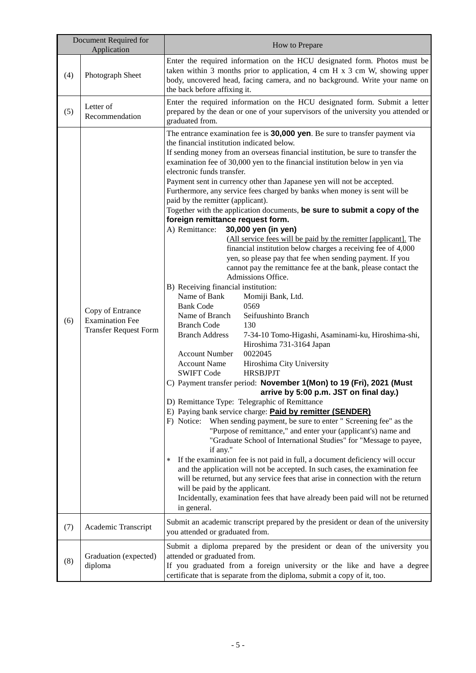| Document Required for<br>Application |                                                                            | How to Prepare                                                                                                                                                                                                                                                                                                                                                                                                                                                                                                                                                                                                                                                                                                                                                                                                                                                                                                                                                                                                                                                                                                                                                                                                                                                                                                                                                                                                                                                                                                                                                                                                                                                                                                                                                                                                                                                                                                                                                                                                                                                                                                                                                                                                                                                                                                                            |  |  |
|--------------------------------------|----------------------------------------------------------------------------|-------------------------------------------------------------------------------------------------------------------------------------------------------------------------------------------------------------------------------------------------------------------------------------------------------------------------------------------------------------------------------------------------------------------------------------------------------------------------------------------------------------------------------------------------------------------------------------------------------------------------------------------------------------------------------------------------------------------------------------------------------------------------------------------------------------------------------------------------------------------------------------------------------------------------------------------------------------------------------------------------------------------------------------------------------------------------------------------------------------------------------------------------------------------------------------------------------------------------------------------------------------------------------------------------------------------------------------------------------------------------------------------------------------------------------------------------------------------------------------------------------------------------------------------------------------------------------------------------------------------------------------------------------------------------------------------------------------------------------------------------------------------------------------------------------------------------------------------------------------------------------------------------------------------------------------------------------------------------------------------------------------------------------------------------------------------------------------------------------------------------------------------------------------------------------------------------------------------------------------------------------------------------------------------------------------------------------------------|--|--|
| (4)                                  | Photograph Sheet                                                           | Enter the required information on the HCU designated form. Photos must be<br>taken within 3 months prior to application, 4 cm H $x$ 3 cm W, showing upper<br>body, uncovered head, facing camera, and no background. Write your name on<br>the back before affixing it.                                                                                                                                                                                                                                                                                                                                                                                                                                                                                                                                                                                                                                                                                                                                                                                                                                                                                                                                                                                                                                                                                                                                                                                                                                                                                                                                                                                                                                                                                                                                                                                                                                                                                                                                                                                                                                                                                                                                                                                                                                                                   |  |  |
| (5)                                  | Letter of<br>Recommendation                                                | Enter the required information on the HCU designated form. Submit a letter<br>prepared by the dean or one of your supervisors of the university you attended or<br>graduated from.                                                                                                                                                                                                                                                                                                                                                                                                                                                                                                                                                                                                                                                                                                                                                                                                                                                                                                                                                                                                                                                                                                                                                                                                                                                                                                                                                                                                                                                                                                                                                                                                                                                                                                                                                                                                                                                                                                                                                                                                                                                                                                                                                        |  |  |
| (6)                                  | Copy of Entrance<br><b>Examination Fee</b><br><b>Transfer Request Form</b> | The entrance examination fee is 30,000 yen. Be sure to transfer payment via<br>the financial institution indicated below.<br>If sending money from an overseas financial institution, be sure to transfer the<br>examination fee of 30,000 yen to the financial institution below in yen via<br>electronic funds transfer.<br>Payment sent in currency other than Japanese yen will not be accepted.<br>Furthermore, any service fees charged by banks when money is sent will be<br>paid by the remitter (applicant).<br>Together with the application documents, be sure to submit a copy of the<br>foreign remittance request form.<br>A) Remittance:<br>30,000 yen (in yen)<br>(All service fees will be paid by the remitter [applicant]. The<br>financial institution below charges a receiving fee of 4,000<br>yen, so please pay that fee when sending payment. If you<br>cannot pay the remittance fee at the bank, please contact the<br>Admissions Office.<br>B) Receiving financial institution:<br>Name of Bank<br>Momiji Bank, Ltd.<br><b>Bank Code</b><br>0569<br>Name of Branch<br>Seifuushinto Branch<br><b>Branch Code</b><br>130<br><b>Branch Address</b><br>7-34-10 Tomo-Higashi, Asaminami-ku, Hiroshima-shi,<br>Hiroshima 731-3164 Japan<br>0022045<br><b>Account Number</b><br><b>Account Name</b><br>Hiroshima City University<br><b>SWIFT Code</b><br><b>HRSBJPJT</b><br>C) Payment transfer period: November 1(Mon) to 19 (Fri), 2021 (Must<br>arrive by 5:00 p.m. JST on final day.)<br>D) Remittance Type: Telegraphic of Remittance<br>E) Paying bank service charge: <b>Paid by remitter (SENDER)</b><br>F) Notice:<br>When sending payment, be sure to enter " Screening fee" as the<br>"Purpose of remittance," and enter your (applicant's) name and<br>"Graduate School of International Studies" for "Message to payee,<br>if any."<br>If the examination fee is not paid in full, a document deficiency will occur<br>$\ast$<br>and the application will not be accepted. In such cases, the examination fee<br>will be returned, but any service fees that arise in connection with the return<br>will be paid by the applicant.<br>Incidentally, examination fees that have already been paid will not be returned<br>in general.<br>you attended or graduated from.<br>attended or graduated from. |  |  |
| (7)                                  | Academic Transcript                                                        | Submit an academic transcript prepared by the president or dean of the university                                                                                                                                                                                                                                                                                                                                                                                                                                                                                                                                                                                                                                                                                                                                                                                                                                                                                                                                                                                                                                                                                                                                                                                                                                                                                                                                                                                                                                                                                                                                                                                                                                                                                                                                                                                                                                                                                                                                                                                                                                                                                                                                                                                                                                                         |  |  |
| (8)                                  | Graduation (expected)<br>diploma                                           | Submit a diploma prepared by the president or dean of the university you<br>If you graduated from a foreign university or the like and have a degree<br>certificate that is separate from the diploma, submit a copy of it, too.                                                                                                                                                                                                                                                                                                                                                                                                                                                                                                                                                                                                                                                                                                                                                                                                                                                                                                                                                                                                                                                                                                                                                                                                                                                                                                                                                                                                                                                                                                                                                                                                                                                                                                                                                                                                                                                                                                                                                                                                                                                                                                          |  |  |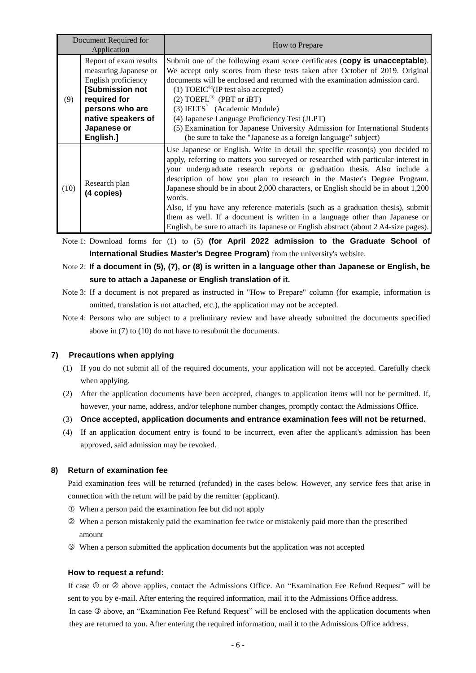| Document Required for<br>Application |                                                                                                                                                                                | How to Prepare                                                                                                                                                                                                                                                                                                                                                                                                                                                                                                                                                                                                                                                                       |
|--------------------------------------|--------------------------------------------------------------------------------------------------------------------------------------------------------------------------------|--------------------------------------------------------------------------------------------------------------------------------------------------------------------------------------------------------------------------------------------------------------------------------------------------------------------------------------------------------------------------------------------------------------------------------------------------------------------------------------------------------------------------------------------------------------------------------------------------------------------------------------------------------------------------------------|
| (9)                                  | Report of exam results<br>measuring Japanese or<br>English proficiency<br>[Submission not<br>required for<br>persons who are<br>native speakers of<br>Japanese or<br>English.] | Submit one of the following exam score certificates (copy is unacceptable).<br>We accept only scores from these tests taken after October of 2019. Original<br>documents will be enclosed and returned with the examination admission card.<br>(1) $TOEIC^{\circledR}$ (IP test also accepted)<br>(2) TOEFL <sup>®</sup> (PBT or iBT)<br>$(3)$ IELTS <sup>"</sup> (Academic Module)<br>(4) Japanese Language Proficiency Test (JLPT)<br>(5) Examination for Japanese University Admission for International Students<br>(be sure to take the "Japanese as a foreign language" subject)                                                                                               |
| (10)                                 | Research plan<br>(4 copies)                                                                                                                                                    | Use Japanese or English. Write in detail the specific reason(s) you decided to<br>apply, referring to matters you surveyed or researched with particular interest in<br>your undergraduate research reports or graduation thesis. Also include a<br>description of how you plan to research in the Master's Degree Program.<br>Japanese should be in about 2,000 characters, or English should be in about 1,200<br>words.<br>Also, if you have any reference materials (such as a graduation thesis), submit<br>them as well. If a document is written in a language other than Japanese or<br>English, be sure to attach its Japanese or English abstract (about 2 A4-size pages). |

Note 1: Download forms for (1) to (5) **(for April 2022 admission to the Graduate School of International Studies Master's Degree Program)** from the university's website.

#### Note 2: **If a document in (5), (7), or (8) is written in a language other than Japanese or English, be sure to attach a Japanese or English translation of it.**

- Note 3: If a document is not prepared as instructed in "How to Prepare" column (for example, information is omitted, translation is not attached, etc.), the application may not be accepted.
- Note 4: Persons who are subject to a preliminary review and have already submitted the documents specified above in (7) to (10) do not have to resubmit the documents.

#### **7) Precautions when applying**

- (1) If you do not submit all of the required documents, your application will not be accepted. Carefully check when applying.
- (2) After the application documents have been accepted, changes to application items will not be permitted. If, however, your name, address, and/or telephone number changes, promptly contact the Admissions Office.

#### (3) **Once accepted, application documents and entrance examination fees will not be returned.**

(4) If an application document entry is found to be incorrect, even after the applicant's admission has been approved, said admission may be revoked.

#### **8) Return of examination fee**

Paid examination fees will be returned (refunded) in the cases below. However, any service fees that arise in connection with the return will be paid by the remitter (applicant).

- When a person paid the examination fee but did not apply
- When a person mistakenly paid the examination fee twice or mistakenly paid more than the prescribed amount
- When a person submitted the application documents but the application was not accepted

#### **How to request a refund:**

If case  $\Phi$  or  $\Phi$  above applies, contact the Admissions Office. An "Examination Fee Refund Request" will be sent to you by e-mail. After entering the required information, mail it to the Admissions Office address. In case  $\circledcirc$  above, an "Examination Fee Refund Request" will be enclosed with the application documents when they are returned to you. After entering the required information, mail it to the Admissions Office address.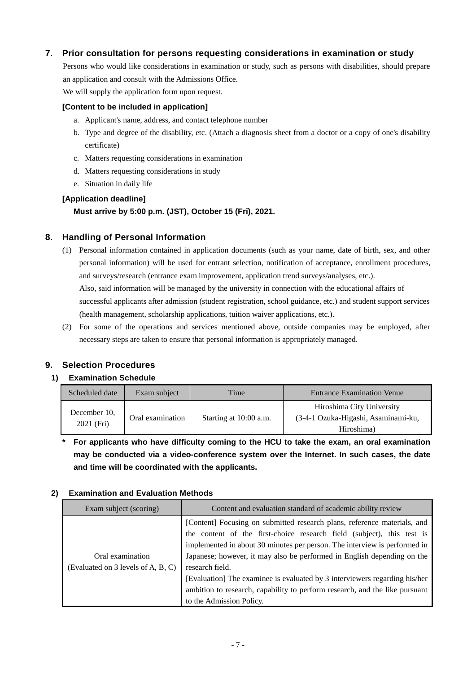#### **7. Prior consultation for persons requesting considerations in examination or study**

Persons who would like considerations in examination or study, such as persons with disabilities, should prepare an application and consult with the Admissions Office.

We will supply the application form upon request.

#### **[Content to be included in application]**

- a. Applicant's name, address, and contact telephone number
- b. Type and degree of the disability, etc. (Attach a diagnosis sheet from a doctor or a copy of one's disability certificate)
- c. Matters requesting considerations in examination
- d. Matters requesting considerations in study
- e. Situation in daily life

#### **[Application deadline]**

#### **Must arrive by 5:00 p.m. (JST), October 15 (Fri), 2021.**

#### **8. Handling of Personal Information**

- (1) Personal information contained in application documents (such as your name, date of birth, sex, and other personal information) will be used for entrant selection, notification of acceptance, enrollment procedures, and surveys/research (entrance exam improvement, application trend surveys/analyses, etc.). Also, said information will be managed by the university in connection with the educational affairs of successful applicants after admission (student registration, school guidance, etc.) and student support services (health management, scholarship applications, tuition waiver applications, etc.).
- (2) For some of the operations and services mentioned above, outside companies may be employed, after necessary steps are taken to ensure that personal information is appropriately managed.

#### **9. Selection Procedures**

#### **1) Examination Schedule**

| Scheduled date             | Exam subject     | Time                   | <b>Entrance Examination Venue</b>                                              |
|----------------------------|------------------|------------------------|--------------------------------------------------------------------------------|
| December 10.<br>2021 (Fri) | Oral examination | Starting at 10:00 a.m. | Hiroshima City University<br>(3-4-1 Ozuka-Higashi, Asaminami-ku,<br>Hiroshima) |

**\* For applicants who have difficulty coming to the HCU to take the exam, an oral examination may be conducted via a video-conference system over the Internet. In such cases, the date and time will be coordinated with the applicants.**

#### **2) Examination and Evaluation Methods**

| Exam subject (scoring)                                 | Content and evaluation standard of academic ability review                                                                                                                                                                                                                                                                                                                                                                                                                                                             |  |  |  |
|--------------------------------------------------------|------------------------------------------------------------------------------------------------------------------------------------------------------------------------------------------------------------------------------------------------------------------------------------------------------------------------------------------------------------------------------------------------------------------------------------------------------------------------------------------------------------------------|--|--|--|
| Oral examination<br>(Evaluated on 3 levels of A, B, C) | [Content] Focusing on submitted research plans, reference materials, and<br>the content of the first-choice research field (subject), this test is<br>implemented in about 30 minutes per person. The interview is performed in<br>Japanese; however, it may also be performed in English depending on the<br>research field.<br>[Evaluation] The examinee is evaluated by 3 interviewers regarding his/her<br>ambition to research, capability to perform research, and the like pursuant<br>to the Admission Policy. |  |  |  |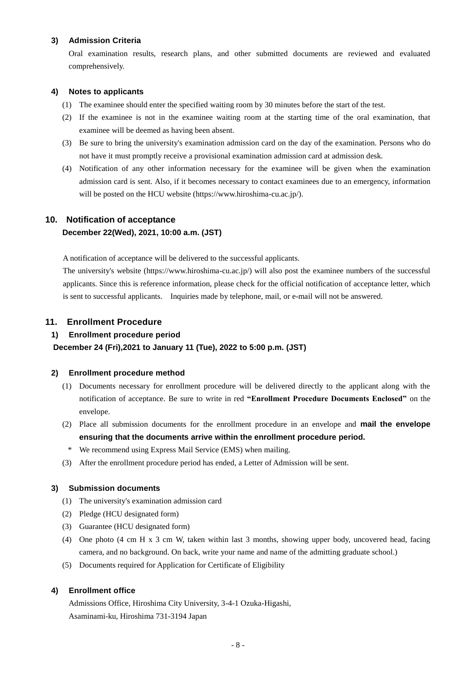#### **3) Admission Criteria**

Oral examination results, research plans, and other submitted documents are reviewed and evaluated comprehensively.

#### **4) Notes to applicants**

- (1) The examinee should enter the specified waiting room by 30 minutes before the start of the test.
- (2) If the examinee is not in the examinee waiting room at the starting time of the oral examination, that examinee will be deemed as having been absent.
- (3) Be sure to bring the university's examination admission card on the day of the examination. Persons who do not have it must promptly receive a provisional examination admission card at admission desk.
- (4) Notification of any other information necessary for the examinee will be given when the examination admission card is sent. Also, if it becomes necessary to contact examinees due to an emergency, information will be posted on the HCU website [\(https://www.hiroshima-cu.ac.jp/\)](https://www.hiroshima-cu.ac.jp/).

#### **10. Notification of acceptance December 22(Wed), 2021, 10:00 a.m. (JST)**

A notification of acceptance will be delivered to the successful applicants.

The university's website [\(https://www.hiroshima-cu.ac.jp/\)](https://www.hiroshima-cu.ac.jp/) will also post the examinee numbers of the successful applicants. Since this is reference information, please check for the official notification of acceptance letter, which is sent to successful applicants. Inquiries made by telephone, mail, or e-mail will not be answered.

#### **11. Enrollment Procedure**

#### **1) Enrollment procedure period**

#### **December 24 (Fri),2021 to January 11 (Tue), 2022 to 5:00 p.m. (JST)**

#### **2) Enrollment procedure method**

- (1) Documents necessary for enrollment procedure will be delivered directly to the applicant along with the notification of acceptance. Be sure to write in red **"Enrollment Procedure Documents Enclosed"** on the envelope.
- (2) Place all submission documents for the enrollment procedure in an envelope and **mail the envelope ensuring that the documents arrive within the enrollment procedure period.**
- \* We recommend using Express Mail Service (EMS) when mailing.
- (3) After the enrollment procedure period has ended, a Letter of Admission will be sent.

#### **3) Submission documents**

- (1) The university's examination admission card
- (2) Pledge (HCU designated form)
- (3) Guarantee (HCU designated form)
- (4) One photo (4 cm H x 3 cm W, taken within last 3 months, showing upper body, uncovered head, facing camera, and no background. On back, write your name and name of the admitting graduate school.)
- (5) Documents required for Application for Certificate of Eligibility

#### **4) Enrollment office**

Admissions Office, Hiroshima City University, 3-4-1 Ozuka-Higashi, Asaminami-ku, Hiroshima 731-3194 Japan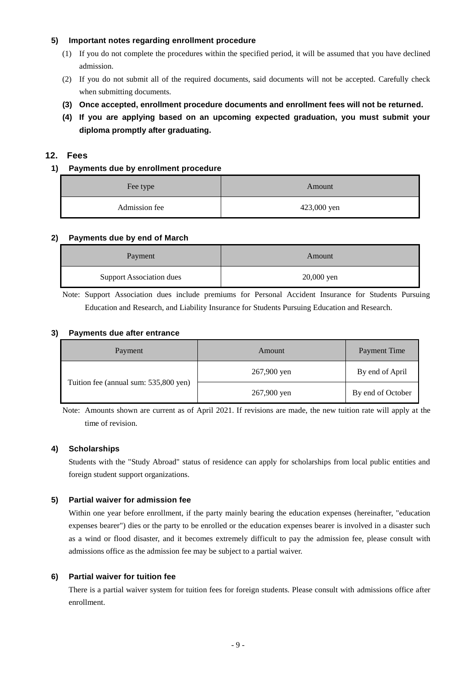#### **5) Important notes regarding enrollment procedure**

- (1) If you do not complete the procedures within the specified period, it will be assumed that you have declined admission.
- (2) If you do not submit all of the required documents, said documents will not be accepted. Carefully check when submitting documents.
- **(3) Once accepted, enrollment procedure documents and enrollment fees will not be returned.**
- **(4) If you are applying based on an upcoming expected graduation, you must submit your diploma promptly after graduating.**

#### **12. Fees**

#### **1) Payments due by enrollment procedure**

| Fee type      | Amount      |  |
|---------------|-------------|--|
| Admission fee | 423,000 yen |  |

#### **2) Payments due by end of March**

| Payment                         | Amount     |  |
|---------------------------------|------------|--|
| <b>Support Association dues</b> | 20,000 yen |  |

Note: Support Association dues include premiums for Personal Accident Insurance for Students Pursuing Education and Research, and Liability Insurance for Students Pursuing Education and Research.

#### **3) Payments due after entrance**

| Payment                               | Amount      | <b>Payment Time</b> |
|---------------------------------------|-------------|---------------------|
|                                       | 267,900 yen | By end of April     |
| Tuition fee (annual sum: 535,800 yen) | 267,900 yen | By end of October   |

Note: Amounts shown are current as of April 2021. If revisions are made, the new tuition rate will apply at the time of revision.

#### **4) Scholarships**

Students with the "Study Abroad" status of residence can apply for scholarships from local public entities and foreign student support organizations.

#### **5) Partial waiver for admission fee**

Within one year before enrollment, if the party mainly bearing the education expenses (hereinafter, "education expenses bearer") dies or the party to be enrolled or the education expenses bearer is involved in a disaster such as a wind or flood disaster, and it becomes extremely difficult to pay the admission fee, please consult with admissions office as the admission fee may be subject to a partial waiver.

#### **6) Partial waiver for tuition fee**

There is a partial waiver system for tuition fees for foreign students. Please consult with admissions office after enrollment.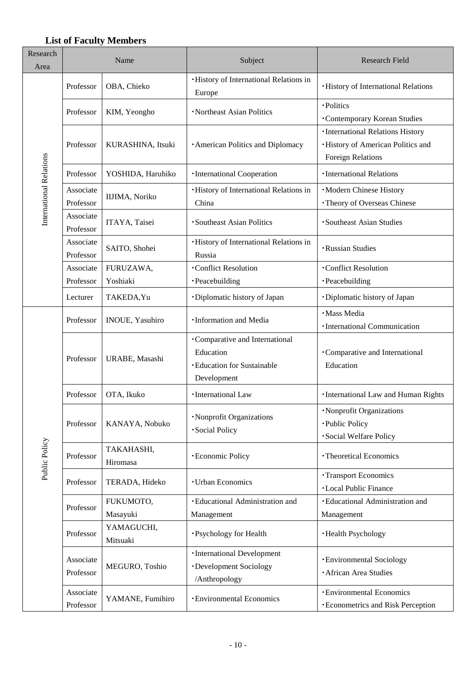#### **List of Faculty Members**

| Research<br>Area        | Name                   |                        | Subject                                                                                         | <b>Research Field</b>                                                                               |
|-------------------------|------------------------|------------------------|-------------------------------------------------------------------------------------------------|-----------------------------------------------------------------------------------------------------|
|                         | Professor              | OBA, Chieko            | <b>·History of International Relations in</b><br>Europe                                         | · History of International Relations                                                                |
|                         | Professor              | KIM, Yeongho           | · Northeast Asian Politics                                                                      | ·Politics<br><b>Contemporary Korean Studies</b>                                                     |
|                         | Professor              | KURASHINA, Itsuki      | · American Politics and Diplomacy                                                               | · International Relations History<br>· History of American Politics and<br><b>Foreign Relations</b> |
|                         | Professor              | YOSHIDA, Haruhiko      | · International Cooperation                                                                     | · International Relations                                                                           |
| International Relations | Associate<br>Professor | IIJIMA, Noriko         | <b>·History of International Relations in</b><br>China                                          | ·Modern Chinese History<br>· Theory of Overseas Chinese                                             |
|                         | Associate<br>Professor | ITAYA, Taisei          | · Southeast Asian Politics                                                                      | ·Southeast Asian Studies                                                                            |
|                         | Associate<br>Professor | SAITO, Shohei          | <b>·History of International Relations in</b><br>Russia                                         | · Russian Studies                                                                                   |
|                         | Associate              | FURUZAWA,              | ·Conflict Resolution                                                                            | <b>Conflict Resolution</b>                                                                          |
|                         | Professor              | Yoshiaki               | · Peacebuilding                                                                                 | ·Peacebuilding                                                                                      |
|                         | Lecturer               | TAKEDA, Yu             | ·Diplomatic history of Japan                                                                    | ·Diplomatic history of Japan                                                                        |
|                         | Professor              | <b>INOUE, Yasuhiro</b> | · Information and Media                                                                         | · Mass Media<br>· International Communication                                                       |
|                         | Professor              | URABE, Masashi         | ·Comparative and International<br>Education<br><b>·Education for Sustainable</b><br>Development | •Comparative and International<br>Education                                                         |
|                         | Professor              | OTA, Ikuko             | ·International Law                                                                              | <b>·International Law and Human Rights</b>                                                          |
|                         | Professor              | KANAYA, Nobuko         | · Nonprofit Organizations<br>· Social Policy                                                    | · Nonprofit Organizations<br>· Public Policy<br>· Social Welfare Policy                             |
| Public Policy           | Professor              | TAKAHASHI,<br>Hiromasa | · Economic Policy                                                                               | · Theoretical Economics                                                                             |
|                         | Professor              | TERADA, Hideko         | <b>· Urban Economics</b>                                                                        | <b>·Transport Economics</b><br><b>·Local Public Finance</b>                                         |
|                         | Professor              | FUKUMOTO,<br>Masayuki  | · Educational Administration and<br>Management                                                  | · Educational Administration and<br>Management                                                      |
|                         | Professor              | YAMAGUCHI,<br>Mitsuaki | ·Psychology for Health                                                                          | ·Health Psychology                                                                                  |
|                         | Associate<br>Professor | MEGURO, Toshio         | ·International Development<br>·Development Sociology<br>/Anthropology                           | <b>·Environmental Sociology</b><br>· African Area Studies                                           |
|                         | Associate<br>Professor | YAMANE, Fumihiro       | · Environmental Economics                                                                       | <b>· Environmental Economics</b><br><b>· Econometrics and Risk Perception</b>                       |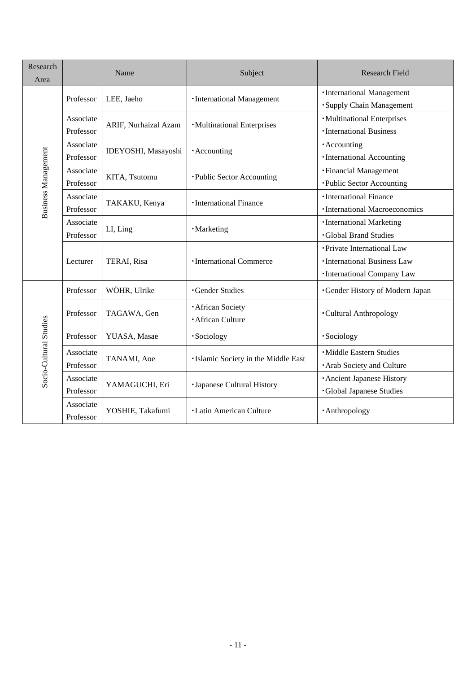| Research<br>Area           | Name                   |                      | Subject                                          | <b>Research Field</b>                                                                      |
|----------------------------|------------------------|----------------------|--------------------------------------------------|--------------------------------------------------------------------------------------------|
|                            | Professor              | LEE, Jaeho           | ·International Management                        | · International Management<br>· Supply Chain Management                                    |
|                            | Associate<br>Professor | ARIF, Nurhaizal Azam | ·Multinational Enterprises                       | ·Multinational Enterprises<br>· International Business                                     |
|                            | Associate<br>Professor | IDEYOSHI, Masayoshi  | · Accounting                                     | · Accounting<br>·International Accounting                                                  |
| <b>Business Management</b> | Associate<br>Professor | KITA, Tsutomu        | ·Public Sector Accounting                        | · Financial Management<br>·Public Sector Accounting                                        |
|                            | Associate<br>Professor | TAKAKU, Kenya        | · International Finance                          | ·International Finance<br>· International Macroeconomics                                   |
|                            | Associate<br>Professor | LI, Ling             | ·Marketing                                       | · International Marketing<br><b>Global Brand Studies</b>                                   |
|                            | Lecturer               | TERAI, Risa          | · International Commerce                         | • Private International Law<br>· International Business Law<br>· International Company Law |
|                            | Professor              | WÖHR, Ulrike         | <b>Gender Studies</b>                            | <b>·Gender History of Modern Japan</b>                                                     |
|                            | Professor              | TAGAWA, Gen          | <b>African Society</b><br><b>African Culture</b> | <b>Cultural Anthropology</b>                                                               |
|                            | Professor              | YUASA, Masae         | ·Sociology                                       | ·Sociology                                                                                 |
| Socio-Cultural Studies     | Associate<br>Professor | TANAMI, Aoe          | ·Islamic Society in the Middle East              | · Middle Eastern Studies<br>· Arab Society and Culture                                     |
|                            | Associate<br>Professor | YAMAGUCHI, Eri       | · Japanese Cultural History                      | · Ancient Japanese History<br><b>·Global Japanese Studies</b>                              |
|                            | Associate<br>Professor | YOSHIE, Takafumi     | <b>·Latin American Culture</b>                   | · Anthropology                                                                             |